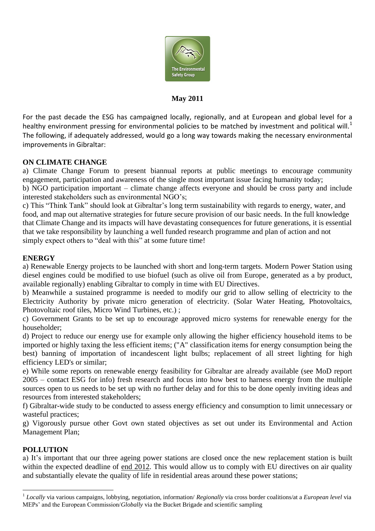

#### **May 2011**

For the past decade the ESG has campaigned locally, regionally, and at European and global level for a healthy environment pressing for environmental policies to be matched by investment and political will.<sup>1</sup> The following, if adequately addressed, would go a long way towards making the necessary environmental improvements in Gibraltar:

### **ON CLIMATE CHANGE**

a) Climate Change Forum to present biannual reports at public meetings to encourage community engagement, participation and awareness of the single most important issue facing humanity today;

b) NGO participation important – climate change affects everyone and should be cross party and include interested stakeholders such as environmental NGO's;

c) This "Think Tank" should look at Gibraltar's long term sustainability with regards to energy, water, and food, and map out alternative strategies for future secure provision of our basic needs. In the full knowledge that Climate Change and its impacts will have devastating consequences for future generations, it is essential that we take responsibility by launching a well funded research programme and plan of action and not simply expect others to "deal with this" at some future time!

### **ENERGY**

a) Renewable Energy projects to be launched with short and long-term targets. Modern Power Station using diesel engines could be modified to use biofuel (such as olive oil from Europe, generated as a by product, available regionally) enabling Gibraltar to comply in time with EU Directives.

b) Meanwhile a sustained programme is needed to modify our grid to allow selling of electricity to the Electricity Authority by private micro generation of electricity. (Solar Water Heating, Photovoltaics, Photovoltaic roof tiles, Micro Wind Turbines, etc.) ;

c) Government Grants to be set up to encourage approved micro systems for renewable energy for the householder;

d) Project to reduce our energy use for example only allowing the higher efficiency household items to be imported or highly taxing the less efficient items; ("A" classification items for energy consumption being the best) banning of importation of incandescent light bulbs; replacement of all street lighting for high efficiency LED's or similar;

e) While some reports on renewable energy feasibility for Gibraltar are already available (see MoD report 2005 – contact ESG for info) fresh research and focus into how best to harness energy from the multiple sources open to us needs to be set up with no further delay and for this to be done openly inviting ideas and resources from interested stakeholders;

f) Gibraltar-wide study to be conducted to assess energy efficiency and consumption to limit unnecessary or wasteful practices;

g) Vigorously pursue other Govt own stated objectives as set out under its Environmental and Action Management Plan;

### **POLLUTION**

1

a) It's important that our three ageing power stations are closed once the new replacement station is built within the expected deadline of end 2012. This would allow us to comply with EU directives on air quality and substantially elevate the quality of life in residential areas around these power stations;

<sup>1</sup> *Locally* via various campaigns, lobbying, negotiation, information/ *Regionally* via cross border coalitions/at a *European level* via MEPs' and the European Commission/*Globally* via the Bucket Brigade and scientific sampling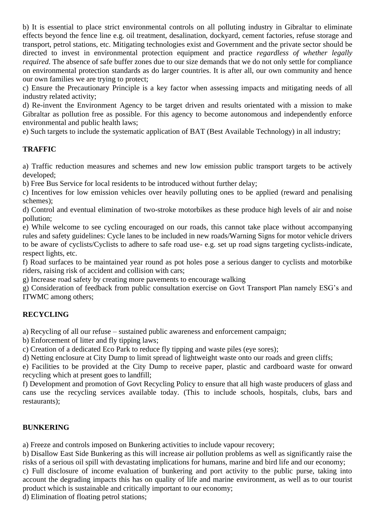b) It is essential to place strict environmental controls on all polluting industry in Gibraltar to eliminate effects beyond the fence line e.g. oil treatment, desalination, dockyard, cement factories, refuse storage and transport, petrol stations, etc. Mitigating technologies exist and Government and the private sector should be directed to invest in environmental protection equipment and practice *regardless of whether legally required*. The absence of safe buffer zones due to our size demands that we do not only settle for compliance on environmental protection standards as do larger countries. It is after all, our own community and hence our own families we are trying to protect;

c) Ensure the Precautionary Principle is a key factor when assessing impacts and mitigating needs of all industry related activity;

d) Re-invent the Environment Agency to be target driven and results orientated with a mission to make Gibraltar as pollution free as possible. For this agency to become autonomous and independently enforce environmental and public health laws;

e) Such targets to include the systematic application of BAT (Best Available Technology) in all industry;

### **TRAFFIC**

a) Traffic reduction measures and schemes and new low emission public transport targets to be actively developed;

b) Free Bus Service for local residents to be introduced without further delay;

c) Incentives for low emission vehicles over heavily polluting ones to be applied (reward and penalising schemes);

d) Control and eventual elimination of two-stroke motorbikes as these produce high levels of air and noise pollution;

e) While welcome to see cycling encouraged on our roads, this cannot take place without accompanying rules and safety guidelines: Cycle lanes to be included in new roads/Warning Signs for motor vehicle drivers to be aware of cyclists/Cyclists to adhere to safe road use- e.g. set up road signs targeting cyclists-indicate, respect lights, etc.

f) Road surfaces to be maintained year round as pot holes pose a serious danger to cyclists and motorbike riders, raising risk of accident and collision with cars;

g) Increase road safety by creating more pavements to encourage walking

g) Consideration of feedback from public consultation exercise on Govt Transport Plan namely ESG's and ITWMC among others;

## **RECYCLING**

a) Recycling of all our refuse – sustained public awareness and enforcement campaign;

b) Enforcement of litter and fly tipping laws;

c) Creation of a dedicated Eco Park to reduce fly tipping and waste piles (eye sores);

d) Netting enclosure at City Dump to limit spread of lightweight waste onto our roads and green cliffs;

e) Facilities to be provided at the City Dump to receive paper, plastic and cardboard waste for onward recycling which at present goes to landfill;

f) Development and promotion of Govt Recycling Policy to ensure that all high waste producers of glass and cans use the recycling services available today. (This to include schools, hospitals, clubs, bars and restaurants);

### **BUNKERING**

a) Freeze and controls imposed on Bunkering activities to include vapour recovery;

b) Disallow East Side Bunkering as this will increase air pollution problems as well as significantly raise the risks of a serious oil spill with devastating implications for humans, marine and bird life and our economy;

c) Full disclosure of income evaluation of bunkering and port activity to the public purse, taking into account the degrading impacts this has on quality of life and marine environment, as well as to our tourist product which is sustainable and critically important to our economy;

d) Elimination of floating petrol stations;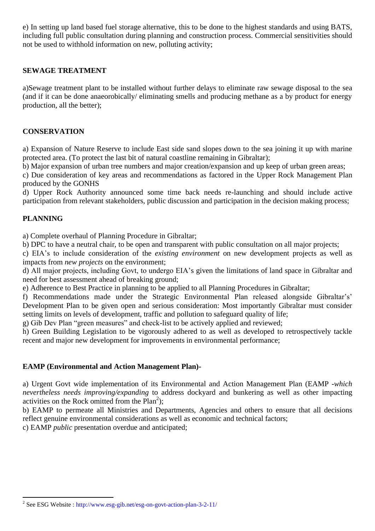e) In setting up land based fuel storage alternative, this to be done to the highest standards and using BATS, including full public consultation during planning and construction process. Commercial sensitivities should not be used to withhold information on new, polluting activity;

#### **SEWAGE TREATMENT**

a)Sewage treatment plant to be installed without further delays to eliminate raw sewage disposal to the sea (and if it can be done anaeorobically/ eliminating smells and producing methane as a by product for energy production, all the better);

#### **CONSERVATION**

a) Expansion of Nature Reserve to include East side sand slopes down to the sea joining it up with marine protected area. (To protect the last bit of natural coastline remaining in Gibraltar);

b) Major expansion of urban tree numbers and major creation/expansion and up keep of urban green areas;

c) Due consideration of key areas and recommendations as factored in the Upper Rock Management Plan produced by the GONHS

d) Upper Rock Authority announced some time back needs re-launching and should include active participation from relevant stakeholders, public discussion and participation in the decision making process;

#### **PLANNING**

1

a) Complete overhaul of Planning Procedure in Gibraltar;

b) DPC to have a neutral chair, to be open and transparent with public consultation on all major projects;

c) EIA's to include consideration of the *existing environment* on new development projects as well as impacts from *new projects* on the environment;

d) All major projects, including Govt, to undergo EIA's given the limitations of land space in Gibraltar and need for best assessment ahead of breaking ground;

e) Adherence to Best Practice in planning to be applied to all Planning Procedures in Gibraltar;

f) Recommendations made under the Strategic Environmental Plan released alongside Gibraltar's' Development Plan to be given open and serious consideration: Most importantly Gibraltar must consider setting limits on levels of development, traffic and pollution to safeguard quality of life;

g) Gib Dev Plan "green measures" and check-list to be actively applied and reviewed;

h) Green Building Legislation to be vigorously adhered to as well as developed to retrospectively tackle recent and major new development for improvements in environmental performance;

### **EAMP (Environmental and Action Management Plan)-**

a) Urgent Govt wide implementation of its Environmental and Action Management Plan (EAMP -*which nevertheless needs improving/expanding* to address dockyard and bunkering as well as other impacting activities on the Rock omitted from the  $Plan<sup>2</sup>$ );

b) EAMP to permeate all Ministries and Departments, Agencies and others to ensure that all decisions reflect genuine environmental considerations as well as economic and technical factors;

c) EAMP *public* presentation overdue and anticipated;

<sup>&</sup>lt;sup>2</sup> See ESG Website : http://www.esg-gib.net/esg-on-govt-action-plan-3-2-11/